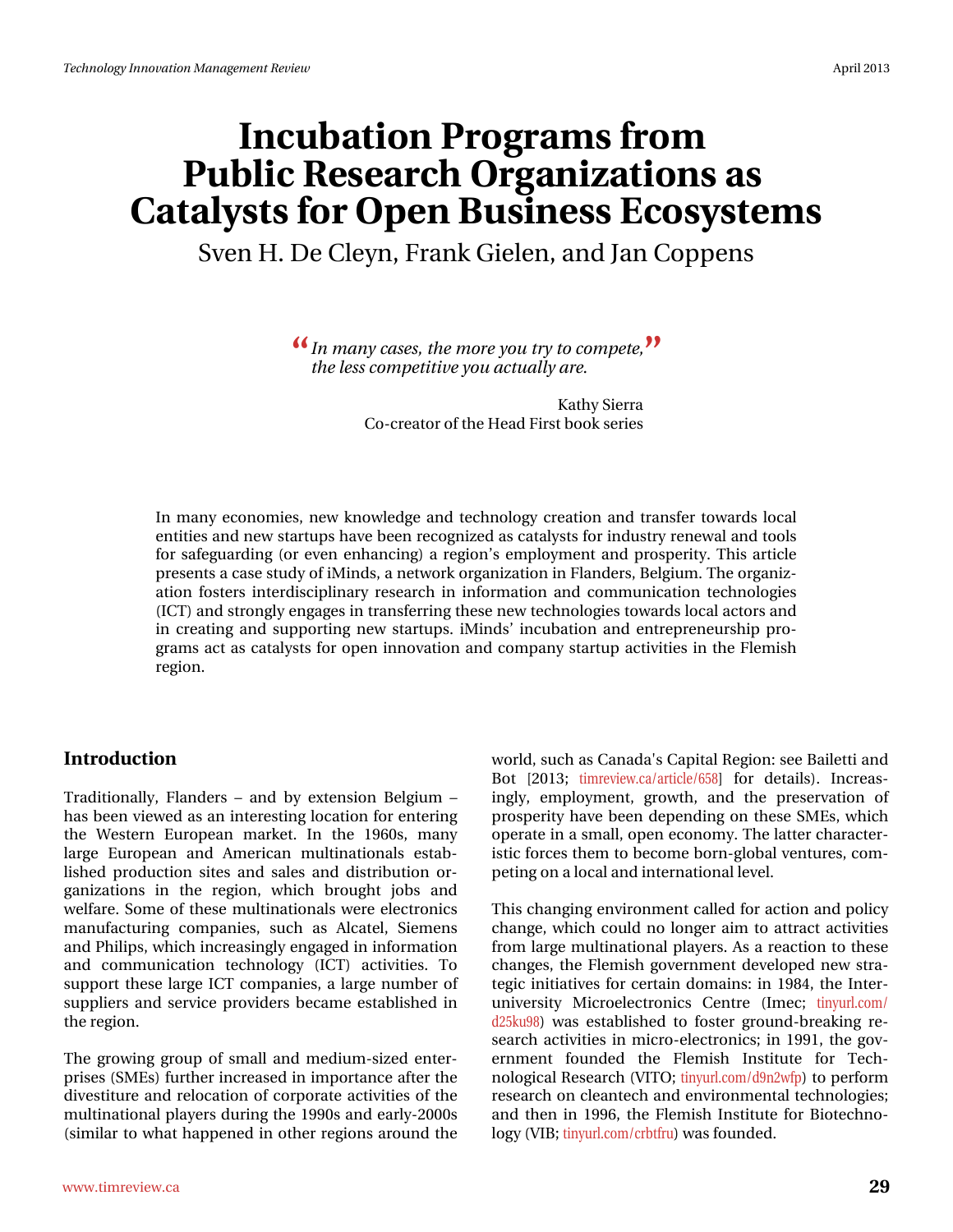# Laf xedwr q#Sur judp v#ur p # Sxedf #Uhvhduf k #Ruj dql} dwr qv#Jv# Fdwdd ww#r u#Rshq#Exvighw#Hfrvi whp v Vyhq #K #Gh#F dn| q/# udqn #J lhdn q/#dqg #Mdq #Frsshqv

く Lq#p dq|#dvhv/#wkh#pruh#|rx#wu|#wr#frpshwhy# MI wkh#bhw#frpshwlwlyh#rx#dfwxdod;#duh1

> Ndvk | #/lhuud Fr Of uhdwru#i#wkh#Khdg#luw#errn#whulhv

Lq#pdq|#hfrqrplhv/#qhz#nqrzdnqjh#dqq#whfkqrorj|#fuhdwlrq#dqq#wudqvihu#wrzduqv#orfdo# hqwlwhv#dqg#qhz#woduwxsv#kdyh#ehhq#uhfrjql}hg#dv#fdwddyww#iru#qgxwwu|#uhqhzdo#dqg#wrrow# iru#vdihjxduglqj#+ru#hyhq#hqkdqflqj,#d#uhjlrq\*v#hpsor|phqw#dqg#survshulw|1#Wklv#duwlfoh# suhvhqwn#d#dvh#wxg|#i#Plqgv/#d#qhwzrun#ujdql}dwlrq#lq#lodqghuv/#Ehojlxp 1#Wkh#ujdql}0 dwirq#irwhuw#lqwhuglvflsolqdu|#uhvhdufk#lq#lqirupdwirq#dqg#frppxqlfdwirq#whfkqrorjlhv# +LFW#dqg#wurqjoj#hqjdjhv#lq#wdqvihuulqj#wkhvh#ghz#whfkqrorjlhv#wrzdugv#orfdo#dfwruw#dqg# lq#fuhdwlqj#dqg#vxssruwlqj#qhz#vwduwxsv1#lPlqgv\*#lqfxedwlrq#dqg#hqwuhsuhqhxuvkls#sur0 judpv#dfw#dv#fdwddyww#iru#rshq#lqqrydwlrq#dqq#frpsdq|#wwduwxs#dfwlylwlhv#lq#wkh#lohplvk# uhj Ir q1

#### Lqwurgxfw<sup>r</sup>q

Wudglwr gdod /#1 odgghw# #dgg#e| #h{whqvlr g#Ehojlxp # # k dv#ehhq#ylhz hg#dv#dq#qvhuhvvliqi#orfdvlrq#tru#hqvhulqi# wkh#Z hwhuq#Hxurshdq#p dunhw#Lq#wkh#4<93v/#p dq|# ody h#Hxurshdq#dqg#Dphulfdq#pxowlqdwlrqdov#hvvode0 dvkhg#surgxfwlrq#vlwhv#dqg#vddnv#dqg#glvwulexwlrq#ru0 jdgl}dw'r gy#lg#wkh#uhjlrg/#zklfk#eurxjkw#mev#dgg# z hoiduht#Vrph#ri#Wrhvh#pxowlqdwlrqdov#z huh#hohfwurqlfv# p dqxidfwsulqj#frpsdqlhv/#vxfk#dv#Dofdwho/#Vlhphqv# dqg#Sklolsv/#zklfk#qfuhdvlqjo|#hqjdjhg#q#qirupdwlrq# dqg#frppxqlfdwlrq#whfkqrorj|#+LFW,#dfwlylwlhv1#Wr# vxssruw#wk.hvh#odujh#LFW#frpsdqlhv/#d#odujh#qxpehu#ri# wssdhw#dqg#vhuylfh#surylghw#ehfdph#hwdedvkhg#lq# wkh#uhjIrq1

Wikh # urzlqi# urxs#ri#vpdoo#dqg#phglxp0vl}hg#hqwhu0 sulvhv#NP Hv, #x uwk hu#qfuhdvhg#q#p sr uwdqfh#diwhu#wkh# glyhvwwx uh#dqg#uhorfdwirq#ri#frusrudwh#dfwlylwhv#ri#wkh# p x owlordwir gdotsod | hwttgx ulgi #wk htt4<<3vttdgg#ndud 05333v# + Nplodu#w # kdw#kdsshqhg#lq#r wkhu#uhjlrqv#durxqg#wkh# z ruog/#vxfk#dv#FdqdgdŠv#Fdslvdd#Uhjlrq=#vhh#Edlohwwl#dqg# Er w#^5346# wip uhylhz 1 d2duwlf dn298; `#ir u#ghwallov, #Lqf uhdv0 lqjd/#hpsor|phqw#jurzwk/#dqg#wkh#suhvhuydwtrq#ri# survshulw|#kdyh#ehhq#ghshqqlqj#rq#wkhvh#VPHv/#zklfk# rshudwh#q#d#vpdoof#shq#hfrqrp|1#Wkh#odwwhu#kdudfwhu0 lw of # ruf hy# ok hp # or#ehfrph#eruq0joredd#yhqwsuhv/#frp0 shwiqj#q#d#orfdo#dqg#qwhuqdwlrqdo#bhyho1

Wiki v# kdqjlqj#nqylurqphqw#doong#ru#dfwlrq#dqg#srolf|# fk do jh/#z klfk#frxoot#gr#orgjhu#dlp#wr#dwwdfw#dfwlylwhv# iurp #odujh#pxowlqdwlrqdo#sod|huv#Dv#d#uhdfwlrq#wr#wkhvh# fkdqjhv/#wkh#ldnplvk#jryhuqphqw#ghyhorshg#qhz#wwd0 whj If #qlwldwlyhv#ru#fhuwdlq#grpdlqv=#q#4<;7/#wkh#Lqwhu0  $x$  qlyhuvly  $\#P$  if ur hohf wur qlf v $\#F$  hqwuh $\#$  + Lp hf  $\#wq$  | xuo fr p 2 g58nx<;,#z dv#hvvdedvkhg#wr#irvvhu#jurxqg0euhdnlqj#uh0 vhduf k#dfwlylwhv#lq#plfur 0hdnfwur qlfv=#lq#4<<4/#wkh#jry0 hugp hqw#irxqghg#wkh#lohplvk#Lqwwwxwh#iru#Whfk0# qr or j If do#Uhvhduf k#PYLVNR \* # log xuof r p 2g < q5z is, # w #s huir up # uhvhduf k# q# ohdqwhf k#dqg#hqylur qp hqwdo#whf kqrorjlhv=# dqg#wk.hq#lq#4<<9/#wk.h#lohplvk.#Lqwww.wh#iru#Elrwhfk.qr0 **σ** i | # YLE *>* # / q | x u o f r p 2 f ue wi ux, # d v # r x q g h g #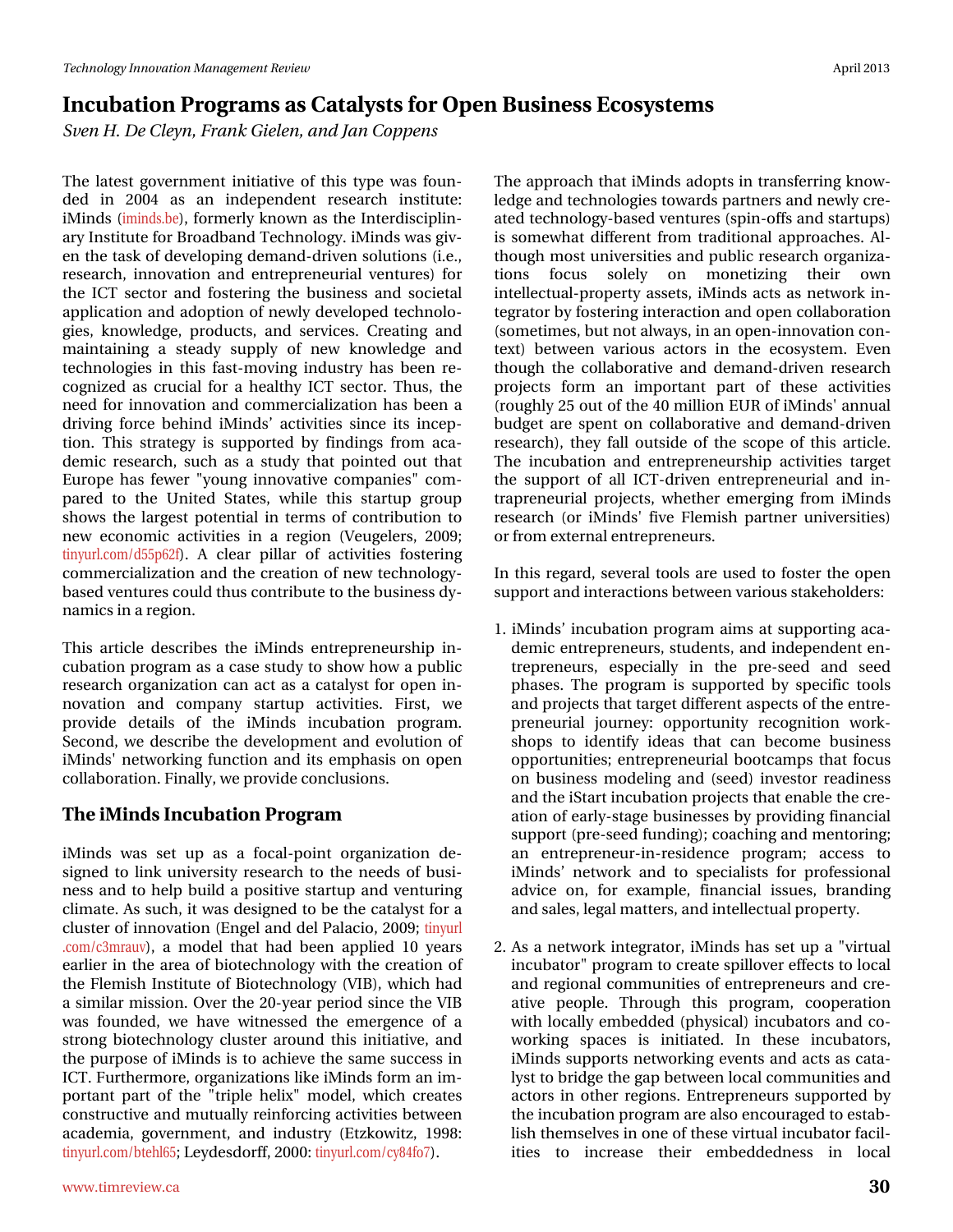## Lafxedwirg#Surjudpv#dv#Fdvddww#ru#Rshq#Exvlghw#Hfrvlwwhpv What K the http://tending/#udgn#Jihdha/#ulgg#MulatFrsshav

Wkh#odwhw#jryhuqphqw#lqlwldwlyh#ri#wklv#wlsh#zdv#irxq0  $g$ hg#lq#5337#dv#dq#lqghshqghqw#uhvhdufk#lqvwwxwh=# IP lqgv# + p lqgv feh, /# r up huo| # nqrzq#dv# wk h# Lqvhugl vflsdq0 du #Lqwww.wh#ru#Eurdgedgg#Whfkqroril#Plqgv#zdv#lly0 hq#wkh#wdvn#i#ghyhorslqj#ghpdqg0gulyhq#vroxwlrqv#H111# uhvhduf k/#qqr ydwr q#dqg#hqwuhsuhqhxuldd#yhqwxuhv,#iru# wkh#LFW#vhfwru#dqg#irwhulqj#wkh#exvlghw#dqg#vrflhwdd# dssolfdwirg#dgg#dgrswirg#ri#ghzol#ghyhorshg#whfk.gror0 j lhv/#nqr z dngj h/#s ur gxf w/#dqg#vhuylf hv\*#F uhdwlqj #dqg# p dlqwdlqlqj#d#whdg|#vxssq#ri#qhz#nqrzohgjh#dqg# whikqrorjlhv#lq#wklv#idw@prylqj#lqgxwwu|#kdv#ehhq#uh0 frigl}hg#dv#fuxfldd#iru#d#khdowk|#LFW#vhfwru#AWkxv/#wkh# qhhg#iru#qqrydwtrq#dqg#frpphufldd}dwtrq#kdv#ehhq#d# guylqj #ir uf h#ehklqg#lPlqgv\*#df wlylwhv#vlqf h#lw#lqf hs0 who q1# Wkl v# wudwhil # v# vxssr whig#el #illoglogiv# iurp # dfd0 ghp If #uhvhduf k/#vxfk#dv#d#vwxg| #vkdv#srlqvhg#rxv#vkdv# Hxursh#kdv#ihzhu#%|rxqj#lqqrydwlyh#frpsdqlhv%#frp0 sduhg#wr#wkh#Xqlwhg#Vwdwhv/#zkloh#wklv#vwduwxs#jurxs# vkrz v#wkh#odujh w#srwhqwldd#q#whup v#ri#frqwulexwlrq#wr# qhz #hf r qr p If #df wlylwhv#lq#d#uhj Ir q#+Yhxj hohuv/#533<# wiq xuofrp 2g88s95i, #D#fohdu#sloodu#ri#dfwlylwhv#irvwhulqj# frpphufidd}dwrq#dqg#wkh#fuhdwrq#ri#qhz#whfkqrorj|0 edvhg#yhqwxuhv#rxog#wkxv#rqwulexwh#wr#wkh#exvlqhvv#g|0 qdp If v#q#d#uhj Ir q1

Wilv#duwfoh#ghvfulehv#wkh#lPlqgv#hqwuhsuhqhxuvkls#lq0 f x edw'r q #sur judp #dv#d#fdvh#wxg|#wr#vkrz #krz #d#sxedf# uhvhdufk#rujdql}dwlrq#fdq#dfw#dv#d#fdwdojvw#iru#rshq#lq0  $qr$  ydw'r q#dqg#frp sdq|#vwduwxs#dfwlylwhv#lluw#zh# surylgh#ghwdlox#ri#wkh#IPlqgv#lqfxedwlrq#surjudp # Vhf r qg/#z h#ghvf uleh#wkh#ghyhorsp hqw#dqg#hyr oxwlr q#ri# IPlqgvŠkqhwzrunlqj#xqfwlrq#dqg#lw#hpskdvlv#rq#rshq# frooderudwirq1#lqdool/#zh#surylgh#frqfoxvlrqv1#

#### Wkh#Plggv#gfxedwrg#Surjudp

IP lggv#z dv#vhw#xs#dv#d#irfdo0srlgw#rujdgl}dwtrg#gh0 vlj qhg#wr#dqn#xqlyhuvlw|#uhvhdufk#wr#wkh#qhhgv#ri#exvl0 qhw#dqg#wr#khos#exlog#d#srvlwlyh#woluwxs#dqg#yhqwxulqj# f olip dwh #Dv#vxfk/#wez dv#ghvljqhg#wr#eh#wkh#fdwdojvw#ru#d# fox whut it it gar ydw'r g#Hgi ho#dgg#gho#Sdodf Ir /#533<#Wg|xw 1 r p 2f 6p udxy, /#d#p r gho#wk dw#k dg#ehhq#dssolhg#43#| hduv# hdudhu#q#wkh#duhd#ri#elrwhfkqrorj|#zlwk#wkh#fuhdwlrq#ri# wkh#l ohp lvk#Lqvwlwxwh#ri#Elrwhfkqrorj | #-YLE,/#zklfk#kdg# d#Mplodu#plvMrq1#Ryhu#wkh#530 hdu#shulrg#Mqfh#wkh#YLE# z dv#ir xqghg/#z h#kdyh#z lvghwhg#vkh#hp huj hqf h#r i#d# wur qj#elrwhfkqrorj|#foxwhu#durxqg#wklv#lqlwldwlyh/#dqg# wkh#sxusrvh#ri#Plqgv#v#wr#dfklhyh#wkh#vdph#vxffhvv#q# LFW# x wkhup r uh/# yj dql}dwr qv#Jnh#Plqgv#r up #dq#p 0 sruvdqv#sduv#ri#wkh#%wulsdn#khol{%#prgho/#zklfk#fuhdwhv# frqwuxfwlyh#dqg#p xwxdool#uhlqiruflqj#dfwlylwlhv#ehwzhhq# df dghp  $\frac{1}{4}$  ryhugp hqw#dqg#lqgx wu #+Hw nr z lw /#4<<; # wiq xuof rp 2evhko98 \* Ch ghvgrui/#5333 \* # q xuof rp 2f ; 7ir:, 1

Wikh#dssurdfk#wkdw#Plggv#dgrsw#lq#wudqvihuulqj#hqrz0 ohgj h#dqg#whfkqrorjlhv#wrzdugv#sduwqhuv#dqg#ghzq#ruh0 dwhg#whfkqrorj|Cedvhg#yhqwxuhv#nvslqOriiv#dqg#woduwxsv,# lv#vrphzkdw#gliihuhqw#urp#wudglwlrqdo#dssurdfkhv1#Do0 wkrxjk#prw#xqlyhuvlwhv#dqg#sxedf#uhvhdufk#rujdql}d0 whrqv# irfxv# vroho|# rq# prqhwl}lqj# wkhlu# rzq# lgwhochfwxdo0surshuw/#dvvhwv/#Plggv#dfwv#dv#ghwzrun#g0 whiudwru#el#rwhulqi#qwhudfwlrq#dqg#shq#rooderudwlrq# + wrph who hv/#exw#qrw#dozd|v/#q#dq#tshq0lqqrydwlrq#frq0 wh{w#ehwz hhq#ydulr xv#dfwr w#lq#wkh#hfrv|wwhp #Hyhq# wkrxjk#wkh#frooderudwlyh#dqg#ghpdqg0gulyhq#uhvhdufk# surnhfw#irup#dq#lpsruwdqw#sduw#ri#wkhvh#dfwlylwhv# +urxjkol#58#xw#i#wkh#73#plootrq#HXU#i#Plqgv\$#dqqxdo# exgj hw#duh#vshqw#rq#frooderudwlyh#dqg#ghpdqg0gulyhq# uhvhdufk, /#wkh|#idoo#rxwlgh#ri#wkh#vfrsh#ri#wklv#duwlfoh1# Wkh#lqfxedwrq#dqg#hqwuhsuhqhxuvkls#dfwlylwhv#wdujhw# wkh#vxssruw#ri#doo#LFW0gulyhq#hqwuhsuhqhxuldo#dqg#lq0 wodsuhghxuldo#surmfw/#zkhwkhu#hphujlqj#urp#Plqgv# uhvhdufk#+ru#lPlqgv9#llyh#ldnplvk#sduwqhu#xqlyhuvlwhv,# ru#urp #h{whuqdo#hqwuhsuhqhxuv1#

Lq#wklv#Uhjdug/#vhyhudd#wrrov#duh#xvhg#wr#irvwhu#wkh#rshq# vxssruwedgg#gwhudfwlrgv#ehwzhhq#ydulrxv#wdnhkroghuv=

- 41#Plqgv\*#qfxedwlrq#surjudp#dlpv#dw#vxssruwlqj#dfd0 ghp If #hqwhs uhqhx w/#wx ghqw/#dqg#qghs hqghqw#hq0 whs uhq hx w/# hvs hf Idao #Iq# wk h#s uh0vhhg#dqg# vhhg# skdvhv#ANkh#surjudp#lv#vxssruwhg#e|#vshflilf#wrrov# dqg#surnhfw#wkdw#wdujhw#gliihuhqw#dvshfw#ti#wkh#hqwuh0 suhqhxuldo#mxuqh|#rssruwxqlw|#uhfrjqlwlrq#zrun0 wkrsv#wr#lghqwi|#lghdv#wkdw#fdq#ehfrph#exvlghvv# rssruwxqlwhv:#hqwuhsuhqhxuldd#errwfdpsv#wkdw#irfxv# r q#exvlqhw#prgholqj#dqg#+whhg,#lqyhwwru#uhdglqhw# dgg#kkh#Woduw#gfxedwhrq#surmhfw#kkdw#hqdedh#kkh#uh0 dw'r g#i#nduol 0 wdi h#exvlghwhv#el#surylglgi#llgdgfldo# w.ssruw#suh0vhhg#xqglqj, #frdfklqj#dqg#phqwrulqj#  $dq$ # hqw.hsuhqhxu0q0uhvighqfh#surjudp  $# df$ fhvv#wr# IP lqgv\*#qhwz r un#dqg#wr #vshflddvw#ir u#sur ihvvlr qdd# dgylf h#r q/#ir u#h{dp sdn/#ilqdqfldd#lwxhv/#eudqglqj# dgg#vddnv/#bhjdd#pdwhwv/#dgg#gwhodnfwxdd#surshuw|#
- 51#Dv#d#qhvzrun#qvhjudwru/#Plqgv#kdv#vhw#xs#d#%yluwxdo# lqfxedwru%bsurjudp#wr#uhdwh#vslooryhu#hiihfw#wr#orfdc# dqg#uhjlrqdc#frppxqlwhv#ri#hqwuhsuhqhxuv#dqg#fuh0 dwlyh#shrsdn1#Wkurxjk#wklv#surjudp/#frrshudwlrq# zlwk#orfdool#hpehgghg#+sk|vlfdo;#lqfxedwruv#dqg#fr0 z r uniqj # vsdf hv# lv# lqlwkdwhg # Lq# wk hvh# lqf x edwr uv/# IP lggv#vxssruw#ghwzrunlgj#nyhgw#dgg#dfw#dv#fdwd0 o) www.netulgjh#wkh#jds#ehwzhhq#orfdo#frppxqlwhv#dqg# dfwrux#lq#rwkhu#uhjlrqv1#Hqwuhsuhqhxuv#vxssruwhg#e|# wkh#qfxedwlrq#surjudp#duh#dovr#hqfrxudjhg#wr#hwode0 dvk#wkhpvhoyhv#q#qh#i#wkhvh#yluwxdo#qfxedwru#dflo0 lwhy# w # lqf uhdyh# wkhlu# hp ehgghgghyv# lq# or fdd#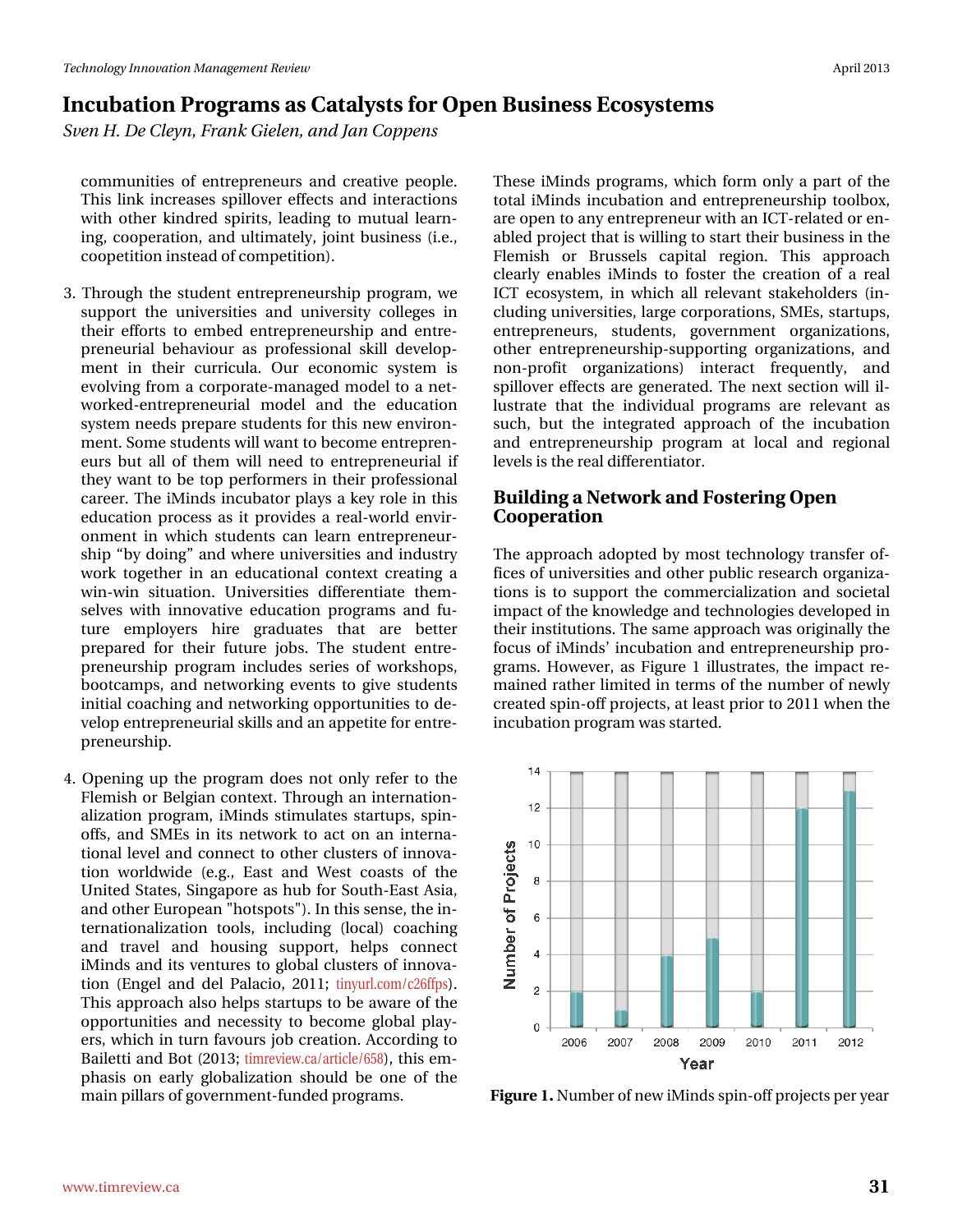### Lafxedwirg#Surjudpv#dv#Fdvddww#ru#Rshq#Exvlghw#Hfrvlwwhpv What K the http://tending/#udgn#Jihdha/#ulgg#MulatFrsshav

frpp xqlwhv#ri#hqwuhsuhqhxuv#dqg#fuhdwlyh#shrsdn# Wilv#dgn#lqfuhdvhv#vslooryhu#hiihfw#dqg#lqvhudfwlrqv# z lwk#r wkhu#nlqguhg#vslulwv/#dndglqj#wr#p xwxdo#dnduq0 lqj/#frrshudwirg/#dgg#xowlpdwhol/#mlqw#exvlghw#H1n1/# frrshwwrq#qvwhdg#i#frpshwwrq,1

- 61# Wikur x j k # wk h # wx g h q w # h q w th s u h q h x w k l s # s u j udp / # h # yxssruw#wkh#xqlyhuvlwhv#dqg#xqlyhuvlw|#froohjhv#lq# wkhlu#hiiruw#wr#hpehg#hqwuhsuhqhxuvkls#dqg#hqwuh0 suhqhxuldd#ehkdylr xu#dv#sur ihvvlr qdd#vnlod#ghyhors0 phqw#lq#wkhlu#fxuulfxod1#Rxu#hfrqrplf#v|whp#lv# hyroylqj# urp#d#frusrudwh0pdqdjhg#prgho#wr#d#qhw0 z r unhg Chq wuh suhq hxuld o#p r gho#dq g# wk h#h gx f dwl r q # v| whip #qhhgv#suhsduh#wxghqw#iru#wklv#qhz#hqylurq0 phqw4#Vrph#wxghqw+zloo#zdqw#wr#ehfrph#hqwuhsuhq0 hx w#exw#doc#ri#wkhp#zloo#qhhg#wr#hqwuhsuhqhxuldc#li# wkh #z dqw#wr#eh#wrs#shuiruphuv#lq#wkhlu#surihvvlrqdo# f duhhuf#Wkh#Plqgv#qfxedwru#sod|v#d#nh|#uroh#q#wklv# hgxfdwrg#surfhw#dv#lw#surylghv#d#uhdo0zruog#hqylu0 r qp hqw#q#z klfk#vwxghqw#fdq#dnduq#hqwuhsuhqhxu0 vkls#e|#grlqj<sup>T#</sup>#dg#zkhuh#xqlyhuvlwhv#dqg#qgxwwq# z r un#wr j hwk hu#lq#dq#hgxfdwlr qdo#frqwh{w#fuhdwlqj#d# zlqQzlq#vlwxdwtqt#Xqlyhuvlwhv#gliihuhqwldwh#wkhp0 vhoyhv#z lwk#lqqrydwlyh#hgxfdwlrq#surjudpv#dqg#ix0 wxuh#hpsor|huv#kluh#judgxdwhv#wkdw#duh#ehwwhu# s uhs duhg#ir u#vk hlu#ix wx uh#mev #Vk h#vvx ghq v#hq wuh0 suhqhxuvkls#surjudp#lqfoxghv#vhulhv#ri#zrunvkrsv/# er rwfdp sv/#dqg#qhwz runlqj#hyhqw#wr#jlyh#wxghqw# lqlwdd frdfklqj#dqg#qhwzrunlqj#rssruwxqlwhv#wr#gh0 yhor s#hqw.hsuhqhxuldo#nloox#dqg#dq#dsshwwh#ru#hqwuh0 suhqhxuvkls1
- 71#Rshqlqj#xs#wkh#surjudp#grhv#qrw#rqq|#uhihu#wr#wkh# lohp lvk#ru#Ehojldq#frqwh{w#A/kurxjk#dq#lqwhuqdwlrq0 dol) dw'r g#sur judp /#IPlggv#wlypxodwhv#woluwxsv/#vslg0 riiv/#dqg#VPHv#lq#lw#qhwzrun#wr#dfw#rq#dq#lqwhuqd0 who detably hot digg to raph for whore the whole the details of the details of the details of the details of t whrq#zruogzlgh#+h1j1/#Hdvw#dqg#Zhvw#frdvw#ri#wkh# Xqlvhg#Avdvhv/#Alqjdsruh#dv#kxe#iru#ArxvkdHdvv#Dvld/# dqg#wkhu#bkurshdq#%krwwsrw%1#q#wklv#whqvh/#wkh#q0 whugdwirddold dwird#wrrov/#lqfoxglqj#+orfdq#frdfklqj# dqg#wudyho#dqg#krxvlqj#vxssruw#khosv#frqqhfw# IP lqgv#dqg#w#yhqwxuhv#wr#joredo#foxwhuv#ri#qqryd0 whr q#+Hqj ho#dqg#gho#Sdodf Ir/#5344#Mq|xuofrp 2f59iisv, # Will v#dssurdfk#dovr#khosv#woduwxsv#wr#eh#dzduh#ri#wkh# rssruwsqlwhv#dqg#qhfhvvlw|#wr#ehfrph#joredo#sod|0 huv/#z klfk#q#wxuq#dyrxuv#me#fuhdwlrq1#Dffruglqj#wr# Edid mwittdig g#Er w#45346 \* # why lhz 1 d2d wif d a 298; / # wk l v # hp 0 skdvlv#rq#hduo|#joredol}dwlrq#vkrxog#eh#rqh#ri#wkh# p dlq#slooduv#i#ryhuqp hqv0ixqghg#surjudp v1

Wikh what Plogy#surjudp v/#z klfk #irup #rqq #d#sduw#i#wkh# w wdd #Plqqv #qf x edwir q #dqq#nqw h suhq h x w kls #w r oer  $\frac{1}{4}$ duh#shq#w#dq|#hqwuhsuhqhxu#zlwk#dq#LFW0uhadwhg#u#hq0 dedng#surnhfw#wkdw#v#zloolgj#wr#wduw#wkhlu#exvlghvv#g#wkh# I dnp lvk#ru#Euxwhov#fdslwdo#uhjIrq#Wklv#dssurdfk# f dodug #hqdednv#IP Iqgv#wr#ir whu#wkh#fuhdwrq#ri#d#uhdd# LFW#nfrv|whp/#lq#zklfk#doo#uhdhydqw#wodnhkroghuv#+lq0 foxglig #xglyhuvlwhv/#odujh#frusrudwirgv/#VPHv/#vvduwxsv/# hqwhsuhqhxuv/# vwxghqwv/# jryhuqp hqw#rujdql}dwtrqv/# r vkhu#hqwuhsuhqhxuvkls0vxssruvlqj#rujdql}dwlrqv/#dqg# qrq0surilw#rujdql}dwlrqv,#lqwhudfw#iuhtxhqwo|/#dqg# vsloor yhu#hiihfw#duh#jhqhudwhg1#Wkh#qh{w#vhfwtrq#zloo#lo0 ox wudwh#wkdw#wkh#lqglylgxdd#surjudp v#duh#uhdnydqw#dv# vxfk/#exw#wkh#lqwhjudwhg#dssurdfk#ri#wkh#lqfxedwlrq# dqg#hqw.hsuhqhxuvkls#surjudp#dw#orfdo#dqg#uhjlrqdo# dnyhov#v#kkh#uhdo#gliihuhqwldwru1

#### Exlogiqj#d#Qhwzrun#dqg#trwwhulqj#Rshq Frrshudwlrq

Wkh#dssurdfk#dgrswhg#e|#prw#whfkqrorj|#wudqvihu#ri0 ilf hv#i#xqlyhuvlwhv#dqg#wkhu#sxedf#uhvhdufk#ujdql}d0 whrqv#lv#wr#vxssruw#wkh#frpphufldol}dwhrq#dqg#vrflhwdo# lp sdfw#i#wkh#nqrzohgih#dqg#whfkqrorilhv#ghyhorshg#q# wk hlu#q www.wirqv1#Wk h#vdph#dssurdfk #zdv#uljlqdool#wk h# irfxv#i#Plqgv\*#qfxedwlrq#dqg#hqwuhsuhqhxuvkls#sur0 judp v1#Krzhyhu/#dv#lljxuh#4#looxwudwhv/#wkh#lpsdfw#uh0 p dlqhg#dwkhu#bplwhg#q#whup v#ri#wkh#qxpehu#ri#qhzq# fundwhg#vslq0rii#surmhfw/#dw#bndw#sulru#wr#5344#z khq#wkh# lqf xedwir q#sur judp #z dv#wduwhg1

Ilj x uh#11Qxp ehu#i#qhz #Plqgv#vslq0rii#surmhfw#shu#hdu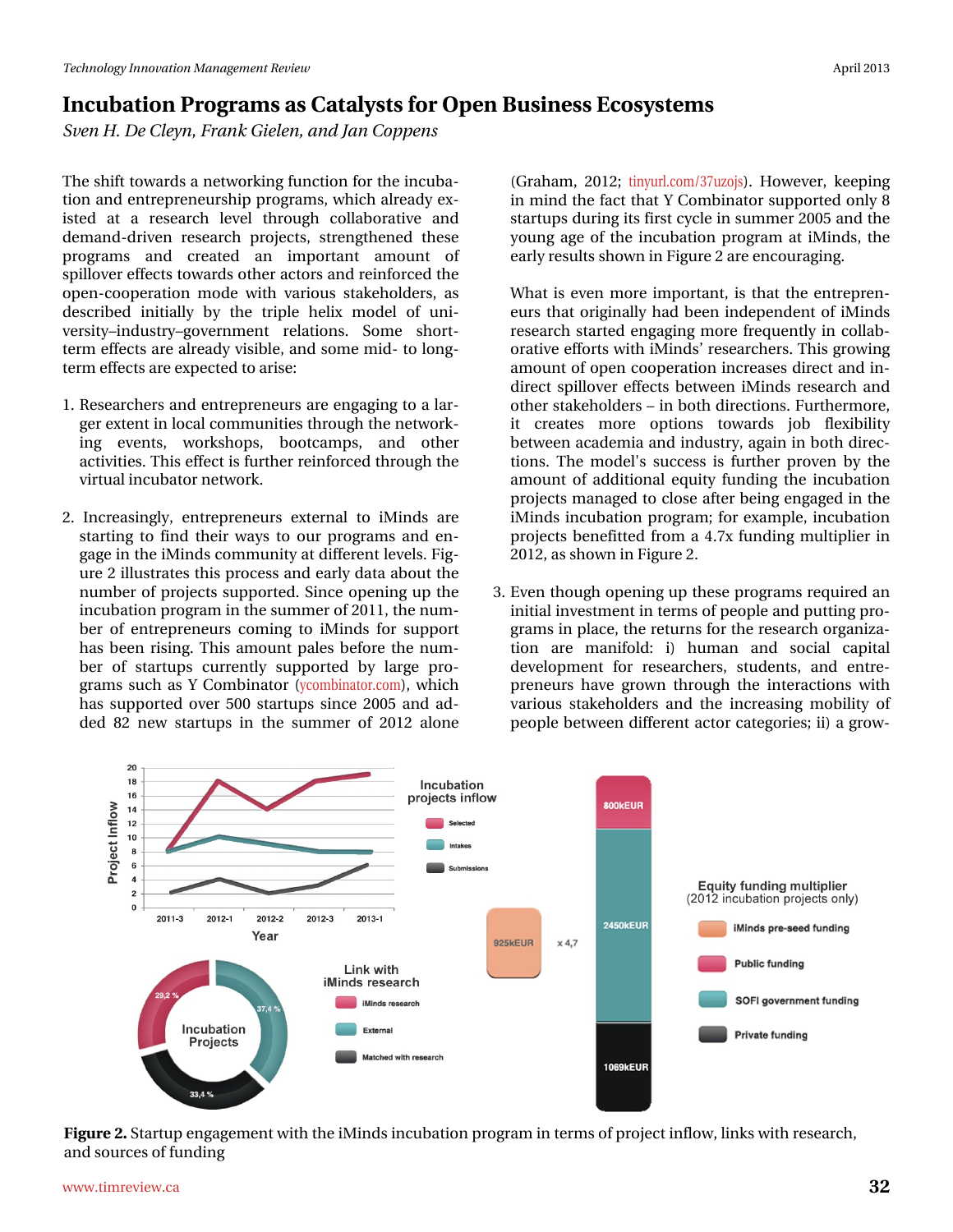## Lafxedwirg#Surjudpv#dv#Fdvddww#ru#Rshq#Exvlghw#Hfrvlwwhpv Wha#K1#Gh#Fohla/#udan#lhoha/#daq#Mda#Frsshav

Wikh#wkliw#wrzdugy#d#ghwzrunlgj#xgfwlrg#ru#wkh#gfxed0 who q#dqg#hqwuhsuhqhxuvkls#surjudp v/#zklfk#douhdq|#h{0 lwhg#dw#d#uhvhdufk#dnyhd#wkurxjk#frooderudwlyh#dqg# ghp dgg0gulyhq#uhvhduf k#sur rhf w/#vwuhqj wkhqhg#wkhvh# surjudp v# dqg#fuhdwhg#dq#lpsruwdqw#dprxqw#ri# vsloor yhu#hiihfw#wrzdugv#wkhu#dfwruw#dqg#uhlqirufhg#wkh# rshq0frrshudwrq#prgh#zlwk#ydulrxv#wdnhkroghuv/#dv# ghvfulehg#lqlwldoot#e|#wkh#wulsoh#khol{#prgho#ri#xql0 yhuvly 'lggxwul' i ryhugp hqw# uhodwlr qv'# Vrp h# vkruw0 whup #hiihfw#duh#douhdg|#ylvledn/#dqg#vrph#plg0#wr#orqj0 whup #hiihfw#duh#h{shfwhg#wr#dulvh=

- 4#Uhvhdufkhuv#dqg#nqwuhsuhqhxuv#duh#nqjdjlqj#wr#d#odu0 jhu#n{whqw#q#orfdc#frppxqlwlhv#wkurxjk#wkh#qhwzrun0 lgi # hyhqw/# z r unvkrsv/# er r wfdp sv/# dgg# r wkhu# dfwlylwhv1#Wklv#hiihfw#v#xuwkhu#uhlqirufhg#wkurxjk#wkh# yluwxdo#qfxedwru#qhwzrun1
- 5#Lgf uhdvigj of /#hqwuhsuhghxuv#h{whuqdo#wr#IPlggv#duh# wołuwkoj# wr#ilo<sub>l</sub>g# wk hlu#z d|v# wr#rxu#surjudpv#do<sub>l</sub>g#ho<sub>l</sub>0 jdjh#q#wkh#Plqgv#frppxqlw|#dw#gliihuhqw#chyhov1#lj0 x uh#5# oox vwudwhv#wk lv#s ur fhvv#dqg#hdud #gdvd#der x w#wk h# qxpehu#i#surmhfw#wxssruwhg1#Mqfh#rshqlqj#xs#wkh# lqfxedwlrq#surjudp#lq#wkh#lxpphu#ti#5344/#wkh#qxp0 ehu#ri#hqwuhsuhqhxuv#frplqj#wr#lPlqgv#iru#vxssruw# k dv#ehhq#ulvlqj1#Wklv#dprxqw#sdohv#ehiruh#wkh#qxp0 ehu#ri#vvduwssv#fxuuhqvo|#vxssruvhg#e|#odujh#sur0 judpv#vxfk#dv#\#Frpelqdwru#+|frpelqdwrufrp,/#zklfk# kdv#vxssruvhg#ryhu#833#vvduwxsv#vlqfh#5338#dqg#dg0 ghg#; 5#ghz #woduwssv#lg#wkh#vxpphu#ri#5345#dorgh#

+Judkdp/#5345: # wig xuofrp 26: x } rm , 1# K r z hy hu/ # nh h s l q j # lq#plqg#wkh#ldfw#wkdw#.#Frpelqdwru#vxssruwhg#rqoj#;# woduwssv#gxulgi#ww#lluw#f|foh#g#vxpphu#5338#dqg#wkh# |rxqj#djh#ri#wkh#lqfxedwlrq#surjudp#dw#lPlqgv/#wkh# hduo) #uhvxow#wkrzq#q#ljxuh#5#duh#hqfrxudjlqj1

- ###Zkdw#v#hyhq#pruh#lpsruvdqw#lv#wkdw#wkh#hqwuhsuhq0 hxw#wkdw#ruljlqdool#kdg#ehhq#lqghshqghqw#ri#Plqgv# uhvhdufk#woduwhg#hqjdjlqj#pruh#iuhtxhqwo|#lq#froode0 r udwlyh#hiir uw#z lwk#P lqgv\*#uhvhduf khuv1#Wklv#j ur z lqj # dprxqw#i#shq#frshudwlrq#qfuhdvhv#gluhfw#dqg#q0 gluhfw#vslooryhu#hiihfw#ehvzhhq#lPlqgv#uhvhdufk#dqg# rwkhu#wodnhkroghuw##q#erwk#gluhfwlrqv1#xuwkhupruh/# lw#fuhdwhv#pruh#rswlrqv#wrzdugv#me#idn{leldw|# ehvz hhq#df dghp Id#dqg#qgxwu|/#dj dlq#q#erwk#gluhf0 wtrqv1#Wkh#prghoŠv#vxffhvv#lv#ixuwkhu#suryhq#e|#wkh# dprxqw#ri#dgglwlrqdc#htxlw|#ixqglqj#wkh#lqfxedwlrq# sur mf w#p dqdj hg#wr#for vh#diwhu#ehlqj#hqjdj hg#q#wkh# IPlogy#lqfxedwlrg#surjudp: #lru#h{dpsdn/#lqfxedwlrg# surm'fwr#ehqhilwwhg#lurp#d#71:{#ixqglqj#pxowlsolhu#lq# 5345/#Jv#/krzq#q#ljxuh#51
- 61#Hyhq#wkrxjk#shqlqj#xs#wkhvh#surjudpv#uhtxluhg#dq# lqlwldd#qyhwp hqw#q#whup v#i#shrsoh#dqg#sxwwlqi#sur0 judp v#q#sodfh/#wkh#uhwxuqv#ru#wkh#uhvhdufk#ujdql}d0 who q#duh#pdqlirog $#I,#Kxp dq#dqq#vrf1dd#fdslwd#$ ghyhorsphqw#iru#uhvhdufkhuv/#vwxghqwv/#dqg#hqwuh0 suhqhxuv#kdyh#jurzq#wkurxjk#wkh#lqwhudfwlrqv#zlwk# ydu'r x v# wdnhk r og hw#dqg# wk h#lqf uhdvlqj #p r eldw #r i# shr soh#ehwz hhq#gliihuhqw#dfwru#fdwhjrulhv=#l,#d#jurz0

lljxuh#51AModuwxs#hqjdjhphqwozllwk#wkh#Plqgv#qfxedwlrq#surjudp#q#whupv#i#surmhfw#qiorz/#olqnv#zllwk#uhvhdufk/# dqg#r xuf hv# i#xqglqj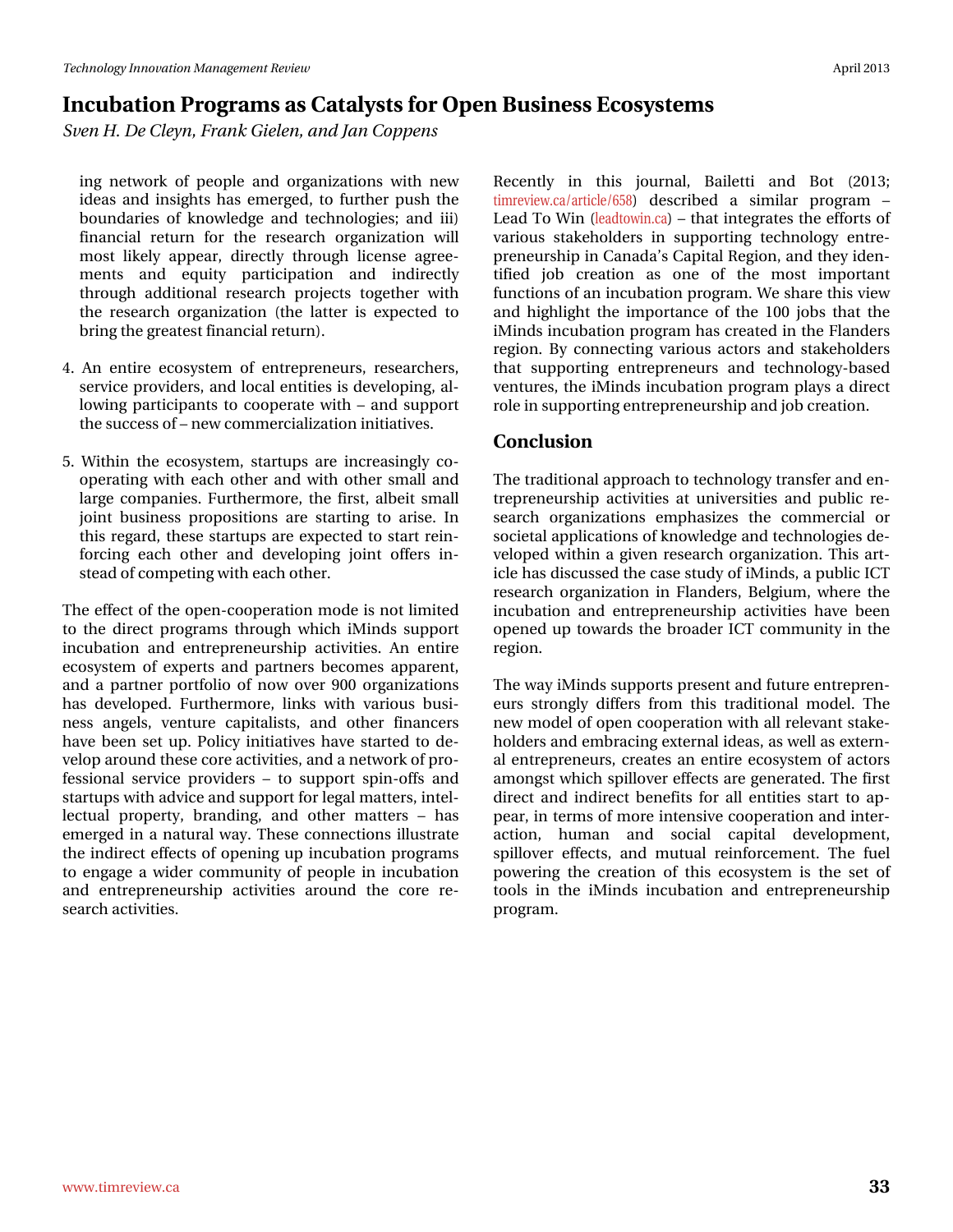## Lafxedwirg#Surjudpv#dv#Fdvddww#ru#Rshq#Exvlghw#Hfrvlwwhpv Wha#K1#Gh#Fohla/#udan#lhoha/#daa#Ma#Frsshav

lgj#ghwzrun#ri#shrsoh#dgg#rujdgl}dwlrgv#zlwk#ghz# lghdv#dqg#lqvljkw#kdv#hphujhg/#wr#ixuwkhu#sxvk#wkh# er xqgdulhv#ri#nqrz dogjh#dqg#whfkqrorjlhv#dqg#ll,# ilgdgfldo#uhwxug#iru#wkh#uhvhdufk#rujdgl}dwlrg#zloo# prw#dnho|#dsshdu/#gluhfwo|#wkurxjk#dfhqvh#djuhh0 p hqw# dqg# ht xlw|# sduwflsdwr q# dqg# lqgluhfwo|# wkur xj k#dgglwh qdd#uhvhduf k#sur rhfw#wrj hwkhu#z lwk# wkh#uhvhdufk#rujdql}dwtrq#+wkh#odwwhu#lv#h{shfwhg#wr# eulqj#nkh#uhdvhvv#llqdqfldc#uhwxuq,1

- 7#Dq#hqwuh#hfrv| whp #ri#hqwuhsuhqhxuv/#uhvhdufkhuv/# yhuylfh#surylghuv/#dqg#orfdo#hqvlwlhv#lv#ghyhorslqj/#do0 orzlqj#sduwlflsdqwr#wr#frrshudwh#zlwk##dqg#vxssruw# wk h#vxffhvv#i##qhz#trpphufldol}dwlrq#qlwldwlyhv1
- 8#Zlwklq#wkh#hfrv|whp/#woduwssv#duh#lqfuhdvlqjq#fr0 r shudwlgj#z lwk#hdfk#rwkhu#dqg#z lwk#rwkhu#vpdoo#dqg# odujh#frpsdqlhv1#lxuwkhupruh/#wkh#lluw#doehlw#vpdoo# mlgw#exvlghw#sursrvlwtrgv#duh#vwduwlgi#wr#dulvh1#Lg# wklv#uhjdug/#wkhvh#woduwxsv#duh#h{shfwhg#wr#woduw#uhlq0 ir uflqj#hdfk#rwkhu#dqg#ghyhorslqj#mlqw#riihuv#lq0

Wikh #hiihfw#i#wkh #shq0frrshudwirq#prgh #v#qrw#olplwhg# wr#wkh#gluhfw#surjudpv#wkurxjk#zklfk#lPlqgv#vxssruw# lqf xedwr q#dqg#hqwuhsuhqhxuvkls#df wylwhv#Dq#hqwuh# hfrv| whp # i#h{shuw#dqg#sduwqhuv#ehfrphv#dssduhqw# dqg#d#sduwqhu#sruwirolr#ri#qrz#ryhu#<33#rujdql}dwlrqv# kdv#ghyhorshg#lxwkhupruh/#dqnv#zlwk#ydulrxv#exvl0 ghw#dqj ho/#yhqwsuh#fdslwddww/#dqg#rwkhu#ilqdqfhuv# k dyh#ehhq#vhw#x s1#Sr olf | #lqlwldwlyhv#k dyh#vwduwhg#wr#gh0 yhors#durxqg#wkhvh#fruh#dfwlylwhv/#dqg#d#qhwzrun#i#sur0 ihwlrqdd#vhuylfh#surylghuv#' #wr#vxssruw#vslq0riiv#dqg# woduwsv#zlwk#dgylfh#dqg#xssruw#ru#bhjdo#pdwwhuv/#qwho0 dnfwsdc#surshuw/#eudqglqj/#dqg#rwkhu#pdwhuv#'#kdv# hp huj hg#q#d#qdwxudd#z d| 1# Wk hvh#fr qqhf whr qv#loox ww.dwh# wkh#qqluhfw#hiihfw#ri#shqlqj#xs#qfxedwlrq#surjudpv# wr#hqjdjh#d#zlghu#frppxqlw|#ri#shrsoh#lq#lqfxedwlrq# dqg#hqw.hsuhqhxuvkls#dfwlylwhv#durxqg#wkh#fruh#uh0 vhduf k#df vlylvlhv#

Uhf hqvo # lq# vklv# mxuqdo # Edid ww# dqg# Er w# +5346> who uhylhz 1 d2duwf dn298; # ghvf ulehg#d# vlp lodu# sur judp #'# Chdg#N #Z lq#+dndgwzlqfd,# #wkdw#qwhjudwhv#wkh#hiiruww#ri# ydulr xv#wdnhkroghuv#lq#vxssruwlqj#whfkqrorj|#hqwuh0 suhqhxuvkls#q#Fdqdgd\*v#Fdslwdd#Uhjlrq/#dqg#wkh|#ghq0 wilhg#me#fuhdwlrq#dv#rqh#ri#wkh#prw#lpsruwdqw# ix qf whr qv#i#dq#qf xedwhr q#surjudp 1#Z h#wkduh#wklv#ylhz # dqg#kljkoljkw#wkh#lpsruwdqfh#ri#wkh#433#mev#wkdw#wkh# IP lqgv#qf xedwlrq#surjudp#kdv#uhdwhg#q#wkh#odqghuv# uhj Irq #E| # r qqhf wiqj #ydulr xv#df wr w#dqg#vwdnhkr oghw# wkdw#vxssruwlqj#hqwuhsuhqhxuv#dqg#whfkqrorj|0edvhg# yhqw.uhv/#wkh#Plqgv#qfxedwirq#surjudp#sod|v#d#gluhfw# urdh#q#xssruwlqj#hqwuhsuhqhxuvkls#dqg#me#uhdwlrq1

#### $F$ r qf  $\alpha$  vlr q

Wikh#wdglwlrqdc#dssurdfk#wr#whfkqrorj|#wdqvihu#dqg#hq0 whsuhqhxuvkls#dfwlylwhv#dw#xqlyhuvlwhv#dqg#sxedf#uh0 vhdufk#rujdql}dwtrqv#hpskdvl}hv#wkh#frpphufldd#ru# vr flhvdd#dssolfdwlr qv#ti#nqrz ohgjh#dqg#whfkqrorjlhv#gh0 yhor shg#z lwklq#d#j lyhq#uhvhdufk#r ujdql}dwlr q#AWklv#duw0 If dn#kdv#glvf x whg#wk h# dvh#wx g| #i#Plqgv/#J#s x edf #LFV# uhvhduf k#r uj dql}dwr q#lq#l odgghuv/#Ehoj lxp /#z khuh#wkh# lgf xedwr g#dgg#hqwhsuhqhxuxkls#df wylwhv#kdyh#ehhq# rshqhg#xs#wrzdugv#wkh#eurdghu#LFW#frppxqlw|#lq#wkh# uhj Irq $#$ 

Wkh#zd|#Plqgv#xssruw#suhvhqw#dqg#xwxuh#hqwuhsuhq0 hx w#wwr gj ol#gliih w#iur p #wklv#wudglwlr gdo#p r ghof#Wkh# qhz#prgho#i#shq#frshudwirq#zlwk#doo#uhohydqw#wdnh0 kroghuv#dqg#npeudflqj#n{whuqdo#ghdv/#dv#zhoo#dv#n{whuq0 dothq whsuhq hx w/# uhdwhv#dq#hq wuh#hfrv| whp #ri#dfwr w# dprqjw#zklfk#vslooryhu#hiihfw#duh#jhqhudwhg1#Wkh#lluw# gluhfw#dqg#lqgluhfw#ehqhilw#iru#doo#hqwWhv#wduw#wr#ds0 shdu/#q#whup v#i#pruh#qwhqvlyh#frrshudwirq#dqg#qwhu0 dfwlrq/# kxp dq# dqg# vrfldd# fdslwdd# ghyhorsp hqwl# vslooryhu#hiihfw/#dqg#p xwxdd#uhlqirufhphqw1#Wkh#ixhd# sr z hulqj #wkh#fuhdwlr q#r i#wklv#hfrv| whp #lv#wkh#vhw#r i# wrrov#lq#vkh#lPlqgv#lqfxedwlrq#dqg#hqwuhsuhqhxuvkls#  $surj$  udp  $#$